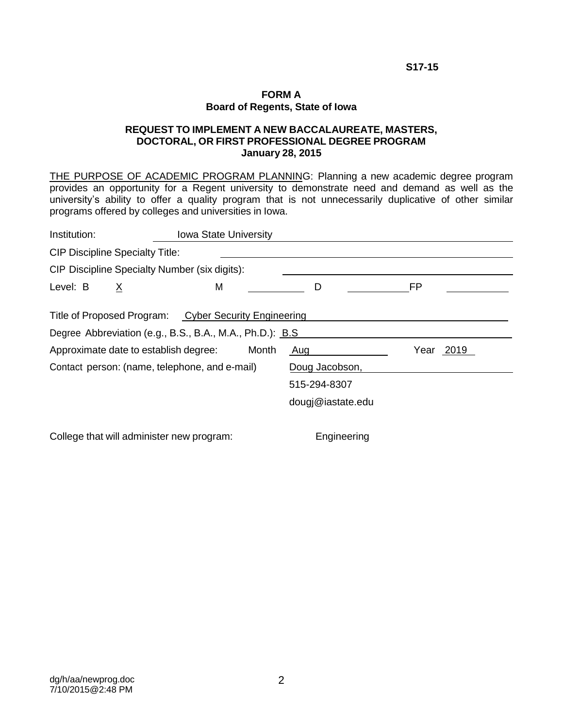**S17-15**

#### **FORM A Board of Regents, State of Iowa**

### **REQUEST TO IMPLEMENT A NEW BACCALAUREATE, MASTERS, DOCTORAL, OR FIRST PROFESSIONAL DEGREE PROGRAM January 28, 2015**

THE PURPOSE OF ACADEMIC PROGRAM PLANNING: Planning a new academic degree program provides an opportunity for a Regent university to demonstrate need and demand as well as the university's ability to offer a quality program that is not unnecessarily duplicative of other similar programs offered by colleges and universities in Iowa.

| Institution:                                  |                                                                    | <b>Iowa State University</b>                  |              |                   |    |  |  |  |  |
|-----------------------------------------------|--------------------------------------------------------------------|-----------------------------------------------|--------------|-------------------|----|--|--|--|--|
| <b>CIP Discipline Specialty Title:</b>        |                                                                    |                                               |              |                   |    |  |  |  |  |
|                                               |                                                                    | CIP Discipline Specialty Number (six digits): |              |                   |    |  |  |  |  |
| Level: B                                      | $\underline{X}$                                                    | М                                             |              | D                 | FP |  |  |  |  |
|                                               | Title of Proposed Program: Cyber Security Engineering              |                                               |              |                   |    |  |  |  |  |
|                                               | Degree Abbreviation (e.g., B.S., B.A., M.A., Ph.D.): B.S.          |                                               |              |                   |    |  |  |  |  |
|                                               | Approximate date to establish degree:<br>Year 2019<br>Month<br>Aug |                                               |              |                   |    |  |  |  |  |
| Contact person: (name, telephone, and e-mail) |                                                                    |                                               |              | Doug Jacobson,    |    |  |  |  |  |
|                                               |                                                                    |                                               | 515-294-8307 |                   |    |  |  |  |  |
|                                               |                                                                    |                                               |              | dougj@iastate.edu |    |  |  |  |  |
|                                               |                                                                    |                                               |              |                   |    |  |  |  |  |

College that will administer new program: Engineering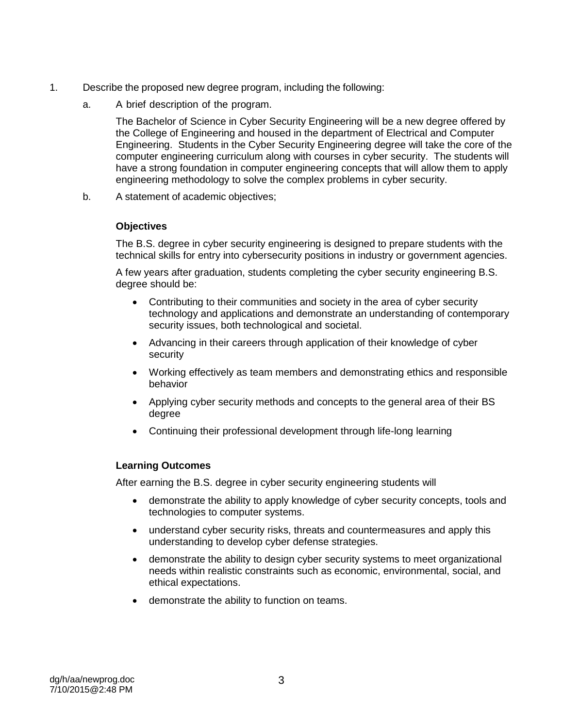- 1. Describe the proposed new degree program, including the following:
	- a. A brief description of the program.

The Bachelor of Science in Cyber Security Engineering will be a new degree offered by the College of Engineering and housed in the department of Electrical and Computer Engineering. Students in the Cyber Security Engineering degree will take the core of the computer engineering curriculum along with courses in cyber security. The students will have a strong foundation in computer engineering concepts that will allow them to apply engineering methodology to solve the complex problems in cyber security.

b. A statement of academic objectives;

### **Objectives**

The B.S. degree in cyber security engineering is designed to prepare students with the technical skills for entry into cybersecurity positions in industry or government agencies.

A few years after graduation, students completing the cyber security engineering B.S. degree should be:

- Contributing to their communities and society in the area of cyber security technology and applications and demonstrate an understanding of contemporary security issues, both technological and societal.
- Advancing in their careers through application of their knowledge of cyber security
- Working effectively as team members and demonstrating ethics and responsible behavior
- Applying cyber security methods and concepts to the general area of their BS degree
- Continuing their professional development through life-long learning

### **Learning Outcomes**

After earning the B.S. degree in cyber security engineering students will

- demonstrate the ability to apply knowledge of cyber security concepts, tools and technologies to computer systems.
- understand cyber security risks, threats and countermeasures and apply this understanding to develop cyber defense strategies.
- demonstrate the ability to design cyber security systems to meet organizational needs within realistic constraints such as economic, environmental, social, and ethical expectations.
- demonstrate the ability to function on teams.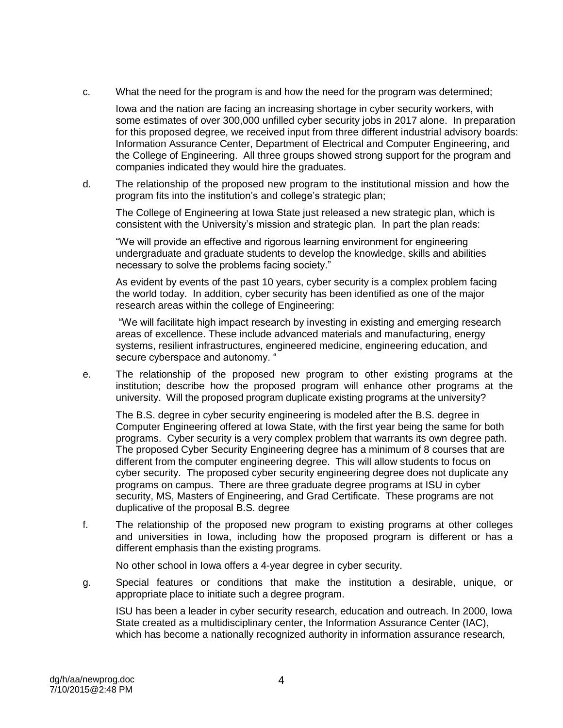c. What the need for the program is and how the need for the program was determined;

Iowa and the nation are facing an increasing shortage in cyber security workers, with some estimates of over 300,000 unfilled cyber security jobs in 2017 alone. In preparation for this proposed degree, we received input from three different industrial advisory boards: Information Assurance Center, Department of Electrical and Computer Engineering, and the College of Engineering. All three groups showed strong support for the program and companies indicated they would hire the graduates.

d. The relationship of the proposed new program to the institutional mission and how the program fits into the institution's and college's strategic plan;

The College of Engineering at Iowa State just released a new strategic plan, which is consistent with the University's mission and strategic plan. In part the plan reads:

"We will provide an effective and rigorous learning environment for engineering undergraduate and graduate students to develop the knowledge, skills and abilities necessary to solve the problems facing society."

As evident by events of the past 10 years, cyber security is a complex problem facing the world today. In addition, cyber security has been identified as one of the major research areas within the college of Engineering:

"We will facilitate high impact research by investing in existing and emerging research areas of excellence. These include advanced materials and manufacturing, energy systems, resilient infrastructures, engineered medicine, engineering education, and secure cyberspace and autonomy. "

e. The relationship of the proposed new program to other existing programs at the institution; describe how the proposed program will enhance other programs at the university. Will the proposed program duplicate existing programs at the university?

The B.S. degree in cyber security engineering is modeled after the B.S. degree in Computer Engineering offered at Iowa State, with the first year being the same for both programs. Cyber security is a very complex problem that warrants its own degree path. The proposed Cyber Security Engineering degree has a minimum of 8 courses that are different from the computer engineering degree. This will allow students to focus on cyber security. The proposed cyber security engineering degree does not duplicate any programs on campus. There are three graduate degree programs at ISU in cyber security, MS, Masters of Engineering, and Grad Certificate. These programs are not duplicative of the proposal B.S. degree

f. The relationship of the proposed new program to existing programs at other colleges and universities in Iowa, including how the proposed program is different or has a different emphasis than the existing programs.

No other school in Iowa offers a 4-year degree in cyber security.

g. Special features or conditions that make the institution a desirable, unique, or appropriate place to initiate such a degree program.

ISU has been a leader in cyber security research, education and outreach. In 2000, Iowa State created as a multidisciplinary center, the Information Assurance Center (IAC), which has become a nationally recognized authority in information assurance research,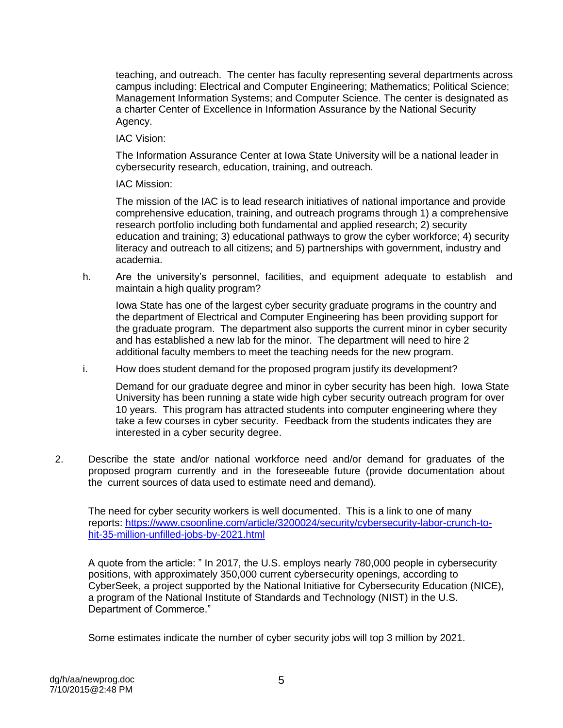teaching, and outreach. The center has faculty representing several departments across campus including: Electrical and Computer Engineering; Mathematics; Political Science; Management Information Systems; and Computer Science. The center is designated as a charter Center of Excellence in Information Assurance by the National Security Agency.

IAC Vision:

The Information Assurance Center at Iowa State University will be a national leader in cybersecurity research, education, training, and outreach.

IAC Mission:

The mission of the IAC is to lead research initiatives of national importance and provide comprehensive education, training, and outreach programs through 1) a comprehensive research portfolio including both fundamental and applied research; 2) security education and training; 3) educational pathways to grow the cyber workforce; 4) security literacy and outreach to all citizens; and 5) partnerships with government, industry and academia.

h. Are the university's personnel, facilities, and equipment adequate to establish and maintain a high quality program?

Iowa State has one of the largest cyber security graduate programs in the country and the department of Electrical and Computer Engineering has been providing support for the graduate program. The department also supports the current minor in cyber security and has established a new lab for the minor. The department will need to hire 2 additional faculty members to meet the teaching needs for the new program.

i. How does student demand for the proposed program justify its development?

Demand for our graduate degree and minor in cyber security has been high. Iowa State University has been running a state wide high cyber security outreach program for over 10 years. This program has attracted students into computer engineering where they take a few courses in cyber security. Feedback from the students indicates they are interested in a cyber security degree.

2. Describe the state and/or national workforce need and/or demand for graduates of the proposed program currently and in the foreseeable future (provide documentation about the current sources of data used to estimate need and demand).

The need for cyber security workers is well documented. This is a link to one of many reports: [https://www.csoonline.com/article/3200024/security/cybersecurity-labor-crunch-to](https://www.csoonline.com/article/3200024/security/cybersecurity-labor-crunch-to-hit-35-million-unfilled-jobs-by-2021.html)[hit-35-million-unfilled-jobs-by-2021.html](https://www.csoonline.com/article/3200024/security/cybersecurity-labor-crunch-to-hit-35-million-unfilled-jobs-by-2021.html)

A quote from the article: " In 2017, the U.S. employs nearly 780,000 people in cybersecurity positions, with approximately 350,000 current cybersecurity openings, according to CyberSeek, a project supported by the National Initiative for Cybersecurity Education (NICE), a program of the National Institute of Standards and Technology (NIST) in the U.S. Department of Commerce."

Some estimates indicate the number of cyber security jobs will top 3 million by 2021.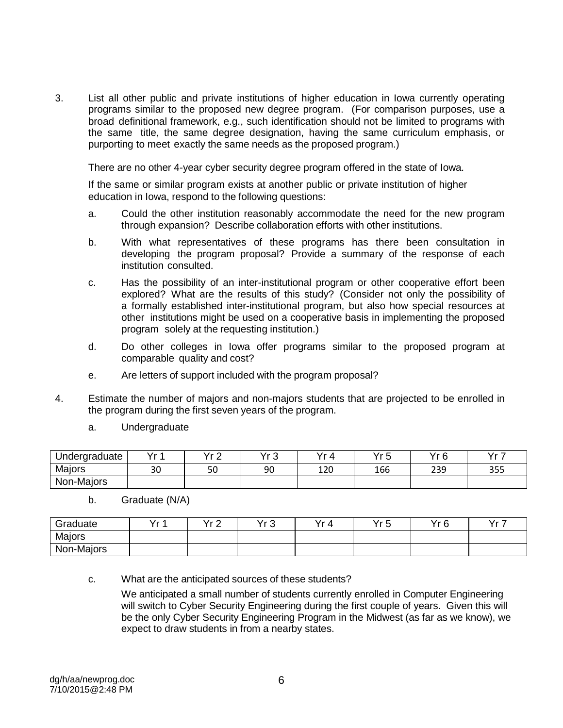3. List all other public and private institutions of higher education in Iowa currently operating programs similar to the proposed new degree program. (For comparison purposes, use a broad definitional framework, e.g., such identification should not be limited to programs with the same title, the same degree designation, having the same curriculum emphasis, or purporting to meet exactly the same needs as the proposed program.)

There are no other 4-year cyber security degree program offered in the state of Iowa.

If the same or similar program exists at another public or private institution of higher education in Iowa, respond to the following questions:

- a. Could the other institution reasonably accommodate the need for the new program through expansion? Describe collaboration efforts with other institutions.
- b. With what representatives of these programs has there been consultation in developing the program proposal? Provide a summary of the response of each institution consulted.
- c. Has the possibility of an inter-institutional program or other cooperative effort been explored? What are the results of this study? (Consider not only the possibility of a formally established inter-institutional program, but also how special resources at other institutions might be used on a cooperative basis in implementing the proposed program solely at the requesting institution.)
- d. Do other colleges in Iowa offer programs similar to the proposed program at comparable quality and cost?
- e. Are letters of support included with the program proposal?
- 4. Estimate the number of majors and non-majors students that are projected to be enrolled in the program during the first seven years of the program.
	- a. Undergraduate

| Undergraduate | $V - 4$ | $\overline{V}$ .<br>- | v. n<br>J | $\mathcal{L}$ | Vr 5<br>J | $V_r$ $\alpha$<br>◡ | ソーフ |
|---------------|---------|-----------------------|-----------|---------------|-----------|---------------------|-----|
| Majors        | 30      | 50                    | 90        | 120           | 166       | 239                 | 355 |
| Non-Majors    |         |                       |           |               |           |                     |     |

b. Graduate (N/A)

| Graduate   | Vr 1<br>. . | $V - \Omega$<br>_ | Vr 2<br>ັ | Yr<br>' Д | Vr 5<br>ັ | Yr <sub>6</sub> | $\vee$ 7<br>. . |
|------------|-------------|-------------------|-----------|-----------|-----------|-----------------|-----------------|
| Majors     |             |                   |           |           |           |                 |                 |
| Non-Majors |             |                   |           |           |           |                 |                 |

c. What are the anticipated sources of these students?

We anticipated a small number of students currently enrolled in Computer Engineering will switch to Cyber Security Engineering during the first couple of years. Given this will be the only Cyber Security Engineering Program in the Midwest (as far as we know), we expect to draw students in from a nearby states.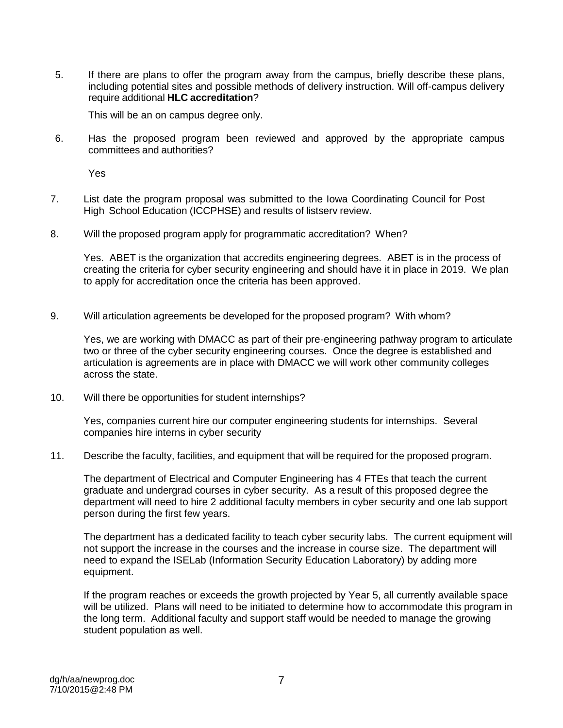5. If there are plans to offer the program away from the campus, briefly describe these plans, including potential sites and possible methods of delivery instruction. Will off-campus delivery require additional **HLC accreditation**?

This will be an on campus degree only.

6. Has the proposed program been reviewed and approved by the appropriate campus committees and authorities?

Yes

- 7. List date the program proposal was submitted to the Iowa Coordinating Council for Post High School Education (ICCPHSE) and results of listserv review.
- 8. Will the proposed program apply for programmatic accreditation? When?

Yes. ABET is the organization that accredits engineering degrees. ABET is in the process of creating the criteria for cyber security engineering and should have it in place in 2019. We plan to apply for accreditation once the criteria has been approved.

9. Will articulation agreements be developed for the proposed program? With whom?

Yes, we are working with DMACC as part of their pre-engineering pathway program to articulate two or three of the cyber security engineering courses. Once the degree is established and articulation is agreements are in place with DMACC we will work other community colleges across the state.

10. Will there be opportunities for student internships?

Yes, companies current hire our computer engineering students for internships. Several companies hire interns in cyber security

11. Describe the faculty, facilities, and equipment that will be required for the proposed program.

The department of Electrical and Computer Engineering has 4 FTEs that teach the current graduate and undergrad courses in cyber security. As a result of this proposed degree the department will need to hire 2 additional faculty members in cyber security and one lab support person during the first few years.

The department has a dedicated facility to teach cyber security labs. The current equipment will not support the increase in the courses and the increase in course size. The department will need to expand the ISELab (Information Security Education Laboratory) by adding more equipment.

If the program reaches or exceeds the growth projected by Year 5, all currently available space will be utilized. Plans will need to be initiated to determine how to accommodate this program in the long term. Additional faculty and support staff would be needed to manage the growing student population as well.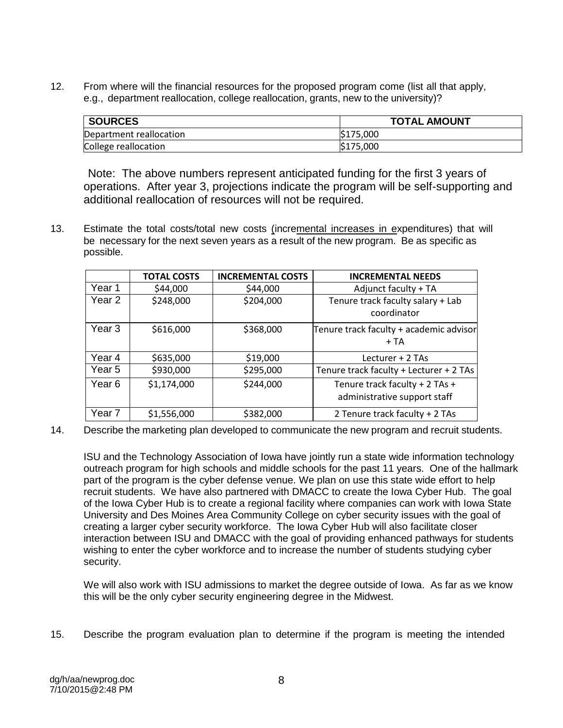12. From where will the financial resources for the proposed program come (list all that apply, e.g., department reallocation, college reallocation, grants, new to the university)?

| <b>SOURCES</b>          | <b>TOTAL AMOUNT</b>  |
|-------------------------|----------------------|
| Department reallocation | S <sub>175,000</sub> |
| College reallocation    | S <sub>175,000</sub> |

Note: The above numbers represent anticipated funding for the first 3 years of operations. After year 3, projections indicate the program will be self-supporting and additional reallocation of resources will not be required.

13. Estimate the total costs/total new costs (incremental increases in expenditures) that will be necessary for the next seven years as a result of the new program. Be as specific as possible.

|                   | <b>TOTAL COSTS</b> | <b>INCREMENTAL COSTS</b> | <b>INCREMENTAL NEEDS</b>                |
|-------------------|--------------------|--------------------------|-----------------------------------------|
| Year 1            | \$44,000           | \$44,000                 | Adjunct faculty + TA                    |
| Year <sub>2</sub> | \$248,000          | \$204,000                | Tenure track faculty salary + Lab       |
|                   |                    |                          | coordinator                             |
| Year 3            | \$616,000          | \$368,000                | Tenure track faculty + academic advisor |
|                   |                    |                          | $+TA$                                   |
| Year 4            | \$635,000          | \$19,000                 | Lecturer + 2 TAs                        |
| Year 5            | \$930,000          | \$295,000                | Tenure track faculty + Lecturer + 2 TAs |
| Year 6            | \$1,174,000        | \$244,000                | Tenure track faculty + 2 TAs +          |
|                   |                    |                          | administrative support staff            |
| Year <sub>7</sub> | \$1,556,000        | \$382,000                | 2 Tenure track faculty + 2 TAs          |

14. Describe the marketing plan developed to communicate the new program and recruit students.

ISU and the Technology Association of Iowa have jointly run a state wide information technology outreach program for high schools and middle schools for the past 11 years. One of the hallmark part of the program is the cyber defense venue. We plan on use this state wide effort to help recruit students. We have also partnered with DMACC to create the Iowa Cyber Hub. The goal of the Iowa Cyber Hub is to create a regional facility where companies can work with Iowa State University and Des Moines Area Community College on cyber security issues with the goal of creating a larger cyber security workforce. The Iowa Cyber Hub will also facilitate closer interaction between ISU and DMACC with the goal of providing enhanced pathways for students wishing to enter the cyber workforce and to increase the number of students studying cyber security.

We will also work with ISU admissions to market the degree outside of Iowa. As far as we know this will be the only cyber security engineering degree in the Midwest.

15. Describe the program evaluation plan to determine if the program is meeting the intended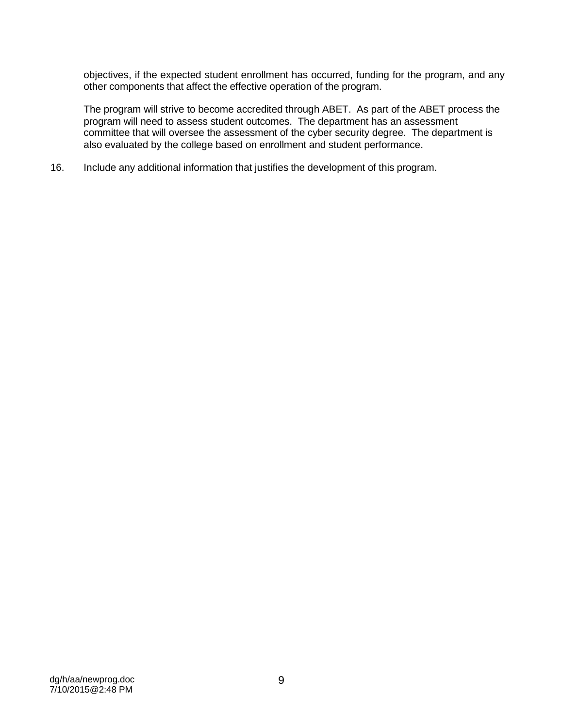objectives, if the expected student enrollment has occurred, funding for the program, and any other components that affect the effective operation of the program.

The program will strive to become accredited through ABET. As part of the ABET process the program will need to assess student outcomes. The department has an assessment committee that will oversee the assessment of the cyber security degree. The department is also evaluated by the college based on enrollment and student performance.

16. Include any additional information that justifies the development of this program.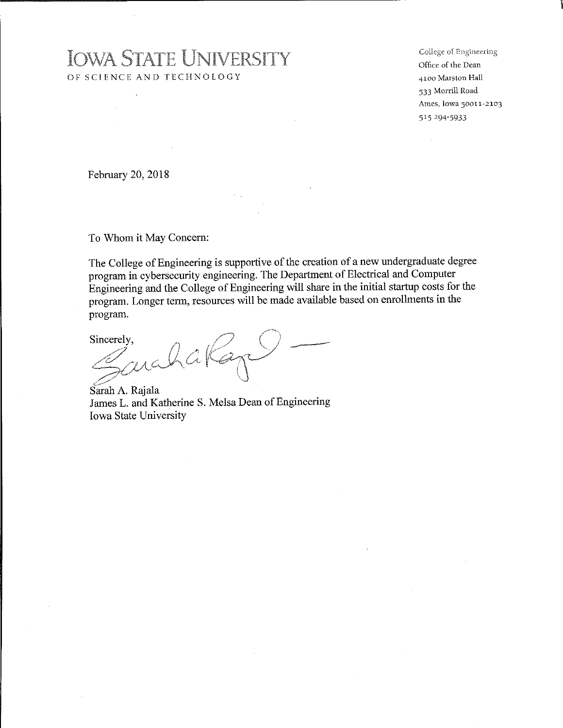# **IOWA STATE UNIVERSITY** OF SCIENCE AND TECHNOLOGY

College of Engineering Office of the Dean 4100 Marston Hall 533 Morrill Road Ames, Iowa 50011-2103 515 294-5933

February 20, 2018

 $\ddot{\phantom{a}}$ 

To Whom it May Concern:

The College of Engineering is supportive of the creation of a new undergraduate degree program in cybersecurity engineering. The Department of Electrical and Computer Engineering and the College of Engineering will share in the initial startup costs for the program. Longer term, resources will be made available based on enrollments in the program.

Sincerely.

archak -<br>P

Sarah A. Rajala James L. and Katherine S. Melsa Dean of Engineering Iowa State University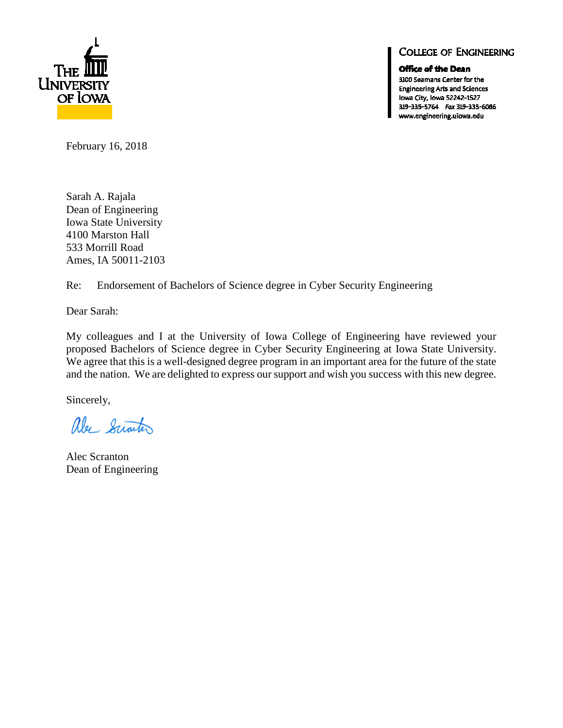

## **COLLEGE OF ENGINEERING**

Office of the Dean

3100 Seamans Center for the **Engineering Arts and Sciences** Iowa City, Iowa 52242-1527 319-335-5764 Fax 319-335-6086 www.engineering.uiowa.edu

February 16, 2018

Sarah A. Rajala Dean of Engineering Iowa State University 4100 Marston Hall 533 Morrill Road Ames, IA 50011-2103

Re: Endorsement of Bachelors of Science degree in Cyber Security Engineering

Dear Sarah:

My colleagues and I at the University of Iowa College of Engineering have reviewed your proposed Bachelors of Science degree in Cyber Security Engineering at Iowa State University. We agree that this is a well-designed degree program in an important area for the future of the state and the nation. We are delighted to express our support and wish you success with this new degree.

Sincerely,

alec Sciarter

Alec Scranton Dean of Engineering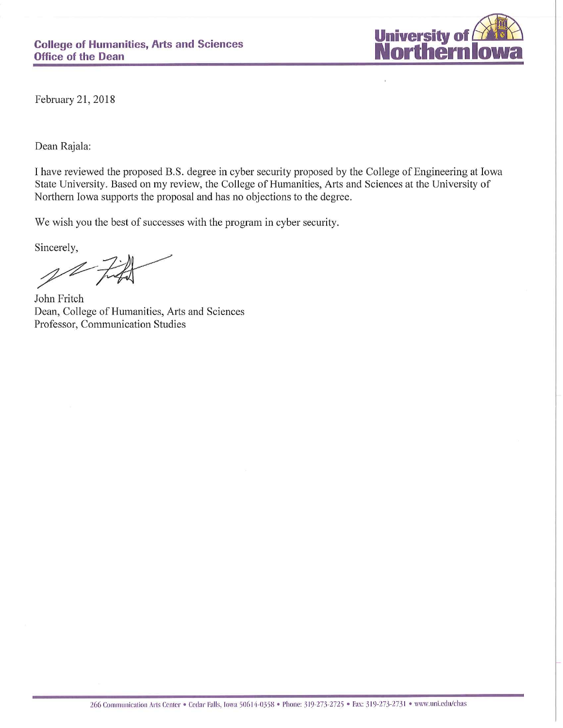

February 21, 2018

Dean Rajala:

I have reviewed the proposed B.S. degree in cyber security proposed by the College of Engineering at Iowa State University. Based on my review, the College of Humanities, Arts and Sciences at the University of Northern Iowa supports the proposal and has no objections to the degree.

We wish you the best of successes with the program in cyber security.

Sincerely,

John Fritch Dean, College of Humanities, Arts and Sciences Professor, Communication Studies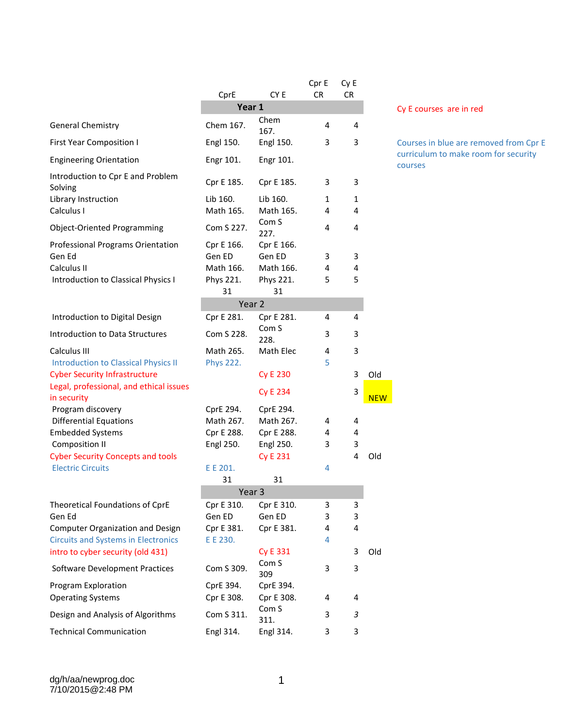|                                                                                 | CprE                  | CY E                     | Cpr E<br><b>CR</b> | Cy E<br><b>CR</b> |            |
|---------------------------------------------------------------------------------|-----------------------|--------------------------|--------------------|-------------------|------------|
|                                                                                 | Year 1                |                          |                    |                   |            |
| <b>General Chemistry</b>                                                        | Chem 167.             | Chem<br>167.             | 4                  | 4                 |            |
| <b>First Year Composition I</b>                                                 | Engl 150.             | Engl 150.                | 3                  | 3                 |            |
| <b>Engineering Orientation</b>                                                  | Engr 101.             | Engr 101.                |                    |                   |            |
| Introduction to Cpr E and Problem<br>Solving                                    | Cpr E 185.            | Cpr E 185.               | 3                  | 3                 |            |
| Library Instruction<br>Calculus I                                               | Lib 160.<br>Math 165. | Lib 160.<br>Math 165.    | 1<br>4             | 1<br>4            |            |
| Object-Oriented Programming                                                     | Com S 227.            | Com <sub>S</sub><br>227. | 4                  | 4                 |            |
| Professional Programs Orientation<br>Gen Ed                                     | Cpr E 166.<br>Gen ED  | Cpr E 166.<br>Gen ED     | 3                  | 3                 |            |
| Calculus II                                                                     | Math 166.             | Math 166.                | 4                  | 4                 |            |
| Introduction to Classical Physics I                                             | Phys 221.<br>31       | Phys 221.<br>31          | 5                  | 5                 |            |
|                                                                                 | Year <sub>2</sub>     |                          |                    |                   |            |
| Introduction to Digital Design                                                  | Cpr E 281.            | Cpr E 281.               | 4                  | 4                 |            |
| Introduction to Data Structures                                                 | Com S 228.            | Com <sub>S</sub><br>228. | 3                  | 3                 |            |
| Calculus III                                                                    | Math 265.             | Math Elec                | 4                  | 3                 |            |
| <b>Introduction to Classical Physics II</b>                                     | <b>Phys 222.</b>      |                          | 5                  |                   |            |
| <b>Cyber Security Infrastructure</b><br>Legal, professional, and ethical issues |                       | <b>Cy E 230</b>          |                    | 3                 | Old        |
| in security                                                                     |                       | <b>Cy E 234</b>          |                    | 3                 | <b>NEW</b> |
| Program discovery                                                               | CprE 294.             | CprE 294.                |                    |                   |            |
| <b>Differential Equations</b>                                                   | Math 267.             | Math 267.                | 4                  | 4                 |            |
| <b>Embedded Systems</b>                                                         | Cpr E 288.            | Cpr E 288.               | 4                  | 4                 |            |
| <b>Composition II</b>                                                           | Engl 250.             | Engl 250.                | 3                  | 3                 |            |
| <b>Cyber Security Concepts and tools</b>                                        |                       | <b>Cy E 231</b>          |                    | 4                 | Old        |
| <b>Electric Circuits</b>                                                        | E E 201.              |                          | 4                  |                   |            |
|                                                                                 | 31                    | 31<br>Year 3             |                    |                   |            |
| Theoretical Foundations of CprE                                                 | Cpr E 310.            | Cpr E 310.               | 3                  | 3                 |            |
| Gen Ed                                                                          | Gen ED                | Gen ED                   | 3                  | 3                 |            |
| <b>Computer Organization and Design</b>                                         | Cpr E 381.            | Cpr E 381.               | 4                  | 4                 |            |
| <b>Circuits and Systems in Electronics</b>                                      | E E 230.              |                          | 4                  |                   |            |
| intro to cyber security (old 431)                                               |                       | <b>Cy E 331</b>          |                    | 3                 | Old        |
| <b>Software Development Practices</b>                                           | Com S 309.            | Com <sub>S</sub><br>309  | 3                  | 3                 |            |
| Program Exploration                                                             | CprE 394.             | CprE 394.                |                    |                   |            |
| <b>Operating Systems</b>                                                        | Cpr E 308.            | Cpr E 308.               | 4                  | 4                 |            |
| Design and Analysis of Algorithms                                               | Com S 311.            | Com <sub>S</sub><br>311. | 3                  | 3                 |            |
| <b>Technical Communication</b>                                                  | Engl 314.             | Engl 314.                | 3                  | 3                 |            |

### **Cy E courses are in red**

Courses in blue are removed from Cpr E curriculum to make room for security courses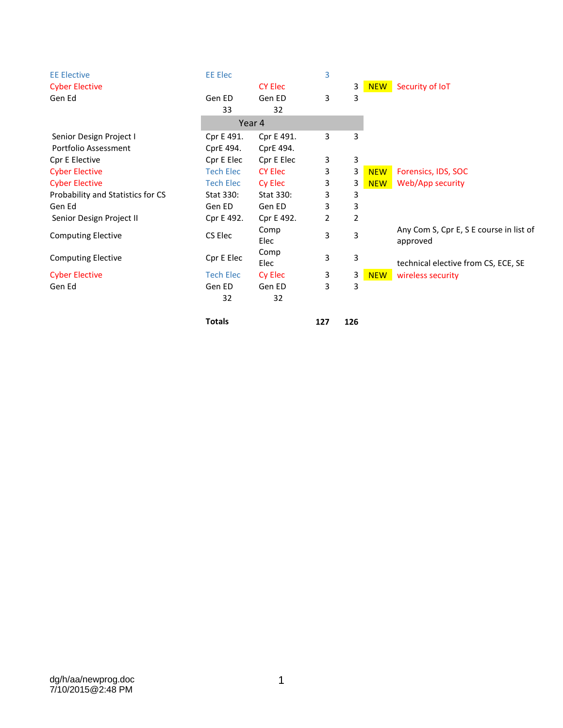| <b>EE Elective</b>                | <b>EE Elec</b>   |                | 3 |   |            |                                                     |
|-----------------------------------|------------------|----------------|---|---|------------|-----------------------------------------------------|
| <b>Cyber Elective</b>             |                  | <b>CY Elec</b> |   | 3 | <b>NEW</b> | Security of IoT                                     |
| Gen Ed                            | Gen ED           | Gen ED         | 3 | 3 |            |                                                     |
|                                   | 33               | 32             |   |   |            |                                                     |
|                                   |                  | Year 4         |   |   |            |                                                     |
| Senior Design Project I           | Cpr E 491.       | Cpr E 491.     | 3 | 3 |            |                                                     |
| Portfolio Assessment              | CprE 494.        | CprE 494.      |   |   |            |                                                     |
| Cpr E Elective                    | Cpr E Elec       | Cpr E Elec     | 3 | 3 |            |                                                     |
| <b>Cyber Elective</b>             | <b>Tech Elec</b> | <b>CY Elec</b> | 3 | 3 | <b>NEW</b> | Forensics, IDS, SOC                                 |
| <b>Cyber Elective</b>             | <b>Tech Elec</b> | Cy Elec        | 3 | 3 | <b>NEW</b> | Web/App security                                    |
| Probability and Statistics for CS | Stat 330:        | Stat 330:      | 3 | 3 |            |                                                     |
| Gen Ed                            | Gen ED           | Gen ED         | 3 | 3 |            |                                                     |
| Senior Design Project II          | Cpr E 492.       | Cpr E 492.     | 2 | 2 |            |                                                     |
| <b>Computing Elective</b>         | CS Elec          | Comp<br>Elec   | 3 | 3 |            | Any Com S, Cpr E, S E course in list of<br>approved |
| <b>Computing Elective</b>         | Cpr E Elec       | Comp<br>Elec   | 3 | 3 |            | technical elective from CS, ECE, SE                 |
| <b>Cyber Elective</b>             | <b>Tech Elec</b> | Cy Elec        | 3 | 3 | <b>NEW</b> | wireless security                                   |
| Gen Ed                            | Gen ED           | Gen ED         | 3 | 3 |            |                                                     |
|                                   | 32               | 32             |   |   |            |                                                     |
|                                   |                  |                |   |   |            |                                                     |

**Totals 127 126**